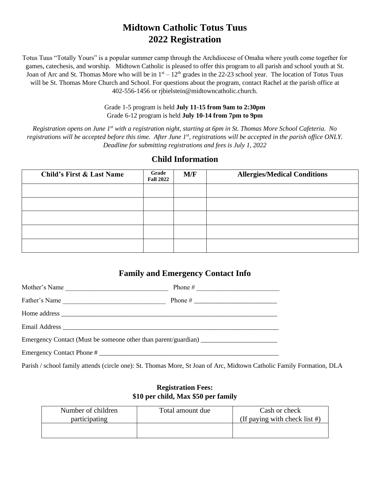# **Midtown Catholic Totus Tuus 2022 Registration**

Totus Tuus "Totally Yours" is a popular summer camp through the Archdiocese of Omaha where youth come together for games, catechesis, and worship. Midtown Catholic is pleased to offer this program to all parish and school youth at St. Joan of Arc and St. Thomas More who will be in  $1<sup>st</sup> - 12<sup>th</sup>$  grades in the 22-23 school year. The location of Totus Tuus will be St. Thomas More Church and School. For questions about the program, contact Rachel at the parish office at 402-556-1456 or rjbielstein@midtowncatholic.church.

> Grade 1-5 program is held **July 11-15 from 9am to 2:30pm** Grade 6-12 program is held **July 10-14 from 7pm to 9pm**

*Registration opens on June 1st with a registration night, starting at 6pm in St. Thomas More School Cafeteria. No registrations will be accepted before this time. After June 1st, registrations will be accepted in the parish office ONLY. Deadline for submitting registrations and fees is July 1, 2022*

| <b>Child's First &amp; Last Name</b> | Grade<br><b>Fall 2022</b> | M/F | <b>Allergies/Medical Conditions</b> |
|--------------------------------------|---------------------------|-----|-------------------------------------|
|                                      |                           |     |                                     |
|                                      |                           |     |                                     |
|                                      |                           |     |                                     |
|                                      |                           |     |                                     |
|                                      |                           |     |                                     |

#### **Child Information**

# **Family and Emergency Contact Info**

| Mother's Name             | Phone $\#$ |  |  |
|---------------------------|------------|--|--|
| Father's Name             |            |  |  |
|                           |            |  |  |
|                           |            |  |  |
|                           |            |  |  |
| Emergency Contact Phone # |            |  |  |

Parish / school family attends (circle one): St. Thomas More, St Joan of Arc, Midtown Catholic Family Formation, DLA

### **Registration Fees: \$10 per child, Max \$50 per family**

| Number of children<br>participating | Total amount due | Cash or check<br>(If paying with check list $#$ ) |
|-------------------------------------|------------------|---------------------------------------------------|
|                                     |                  |                                                   |